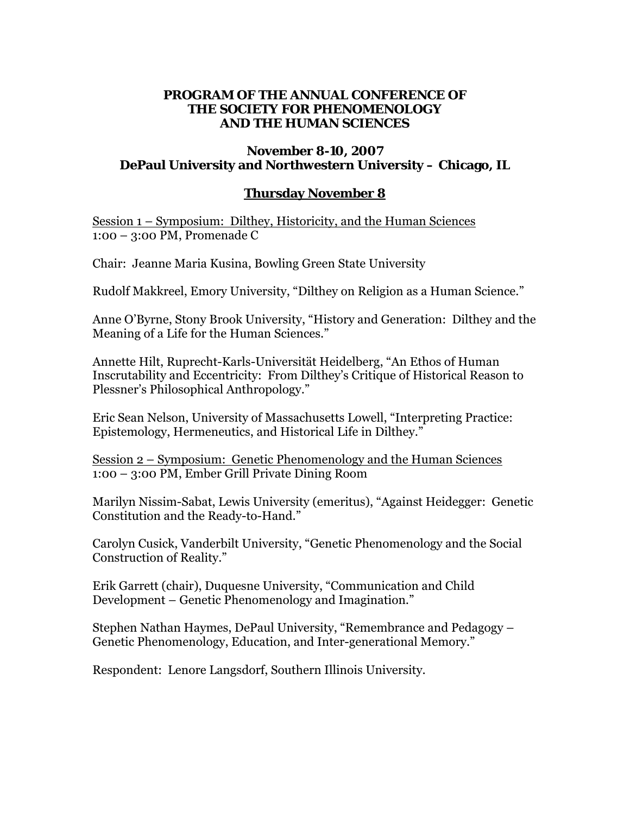### **PROGRAM OF THE ANNUAL CONFERENCE OF THE SOCIETY FOR PHENOMENOLOGY AND THE HUMAN SCIENCES**

### **November 8-10, 2007 DePaul University and Northwestern University – Chicago, IL**

## **Thursday November 8**

Session 1 – Symposium: Dilthey, Historicity, and the Human Sciences 1:00 – 3:00 PM, Promenade C

Chair: Jeanne Maria Kusina, Bowling Green State University

Rudolf Makkreel, Emory University, "Dilthey on Religion as a Human Science."

Anne O'Byrne, Stony Brook University, "History and Generation: Dilthey and the Meaning of a Life for the Human Sciences."

Annette Hilt, Ruprecht-Karls-Universität Heidelberg, "An Ethos of Human Inscrutability and Eccentricity: From Dilthey's Critique of Historical Reason to Plessner's Philosophical Anthropology."

Eric Sean Nelson, University of Massachusetts Lowell, "Interpreting Practice: Epistemology, Hermeneutics, and Historical Life in Dilthey."

Session 2 – Symposium: Genetic Phenomenology and the Human Sciences 1:00 – 3:00 PM, Ember Grill Private Dining Room

Marilyn Nissim-Sabat, Lewis University (emeritus), "Against Heidegger: Genetic Constitution and the Ready-to-Hand."

Carolyn Cusick, Vanderbilt University, "Genetic Phenomenology and the Social Construction of Reality."

Erik Garrett (chair), Duquesne University, "Communication and Child Development – Genetic Phenomenology and Imagination."

Stephen Nathan Haymes, DePaul University, "Remembrance and Pedagogy – Genetic Phenomenology, Education, and Inter-generational Memory."

Respondent: Lenore Langsdorf, Southern Illinois University.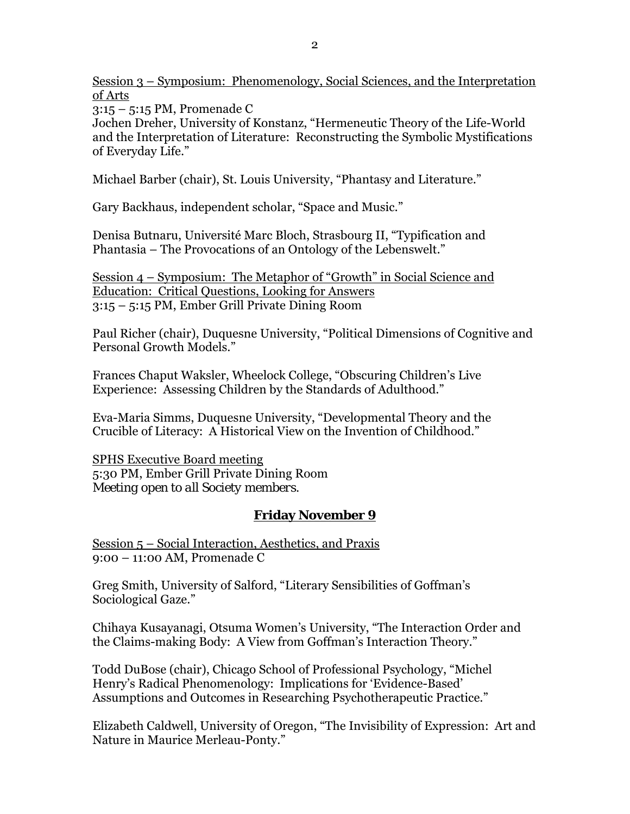Session 3 – Symposium: Phenomenology, Social Sciences, and the Interpretation of Arts

3:15 – 5:15 PM, Promenade C

Jochen Dreher, University of Konstanz, "Hermeneutic Theory of the Life-World and the Interpretation of Literature: Reconstructing the Symbolic Mystifications of Everyday Life."

Michael Barber (chair), St. Louis University, "Phantasy and Literature."

Gary Backhaus, independent scholar, "Space and Music."

Denisa Butnaru, Université Marc Bloch, Strasbourg II, "Typification and Phantasia – The Provocations of an Ontology of the Lebenswelt."

Session 4 – Symposium: The Metaphor of "Growth" in Social Science and Education: Critical Questions, Looking for Answers 3:15 – 5:15 PM, Ember Grill Private Dining Room

Paul Richer (chair), Duquesne University, "Political Dimensions of Cognitive and Personal Growth Models."

Frances Chaput Waksler, Wheelock College, "Obscuring Children's Live Experience: Assessing Children by the Standards of Adulthood."

Eva-Maria Simms, Duquesne University, "Developmental Theory and the Crucible of Literacy: A Historical View on the Invention of Childhood."

SPHS Executive Board meeting 5:30 PM, Ember Grill Private Dining Room *Meeting open to all Society members.* 

# **Friday November 9**

Session 5 – Social Interaction, Aesthetics, and Praxis 9:00 – 11:00 AM, Promenade C

Greg Smith, University of Salford, "Literary Sensibilities of Goffman's Sociological Gaze."

Chihaya Kusayanagi, Otsuma Women's University, "The Interaction Order and the Claims-making Body: A View from Goffman's Interaction Theory."

Todd DuBose (chair), Chicago School of Professional Psychology, "Michel Henry's Radical Phenomenology: Implications for 'Evidence-Based' Assumptions and Outcomes in Researching Psychotherapeutic Practice."

Elizabeth Caldwell, University of Oregon, "The Invisibility of Expression: Art and Nature in Maurice Merleau-Ponty."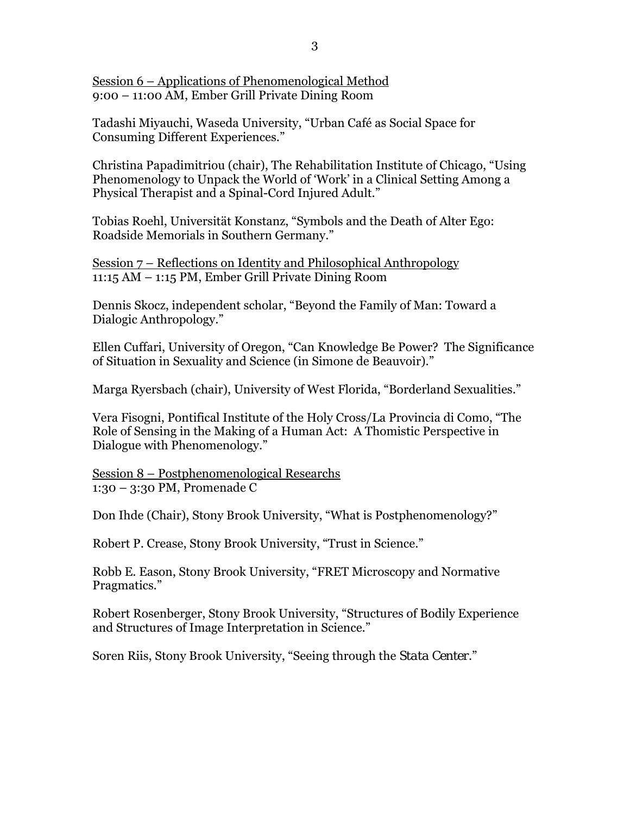Session 6 – Applications of Phenomenological Method 9:00 – 11:00 AM, Ember Grill Private Dining Room

Tadashi Miyauchi, Waseda University, "Urban Café as Social Space for Consuming Different Experiences."

Christina Papadimitriou (chair), The Rehabilitation Institute of Chicago, "Using Phenomenology to Unpack the World of 'Work' in a Clinical Setting Among a Physical Therapist and a Spinal-Cord Injured Adult."

Tobias Roehl, Universität Konstanz, "Symbols and the Death of Alter Ego: Roadside Memorials in Southern Germany."

Session 7 – Reflections on Identity and Philosophical Anthropology 11:15 AM – 1:15 PM, Ember Grill Private Dining Room

Dennis Skocz, independent scholar, "Beyond the Family of Man: Toward a Dialogic Anthropology."

Ellen Cuffari, University of Oregon, "Can Knowledge Be Power? The Significance of Situation in Sexuality and Science (in Simone de Beauvoir)."

Marga Ryersbach (chair), University of West Florida, "Borderland Sexualities."

Vera Fisogni, Pontifical Institute of the Holy Cross/La Provincia di Como, "The Role of Sensing in the Making of a Human Act: A Thomistic Perspective in Dialogue with Phenomenology."

Session 8 – Postphenomenological Researchs 1:30 – 3:30 PM, Promenade C

Don Ihde (Chair), Stony Brook University, "What is Postphenomenology?"

Robert P. Crease, Stony Brook University, "Trust in Science."

Robb E. Eason, Stony Brook University, "FRET Microscopy and Normative Pragmatics."

Robert Rosenberger, Stony Brook University, "Structures of Bodily Experience and Structures of Image Interpretation in Science."

Soren Riis, Stony Brook University, "Seeing through the *Stata Center*."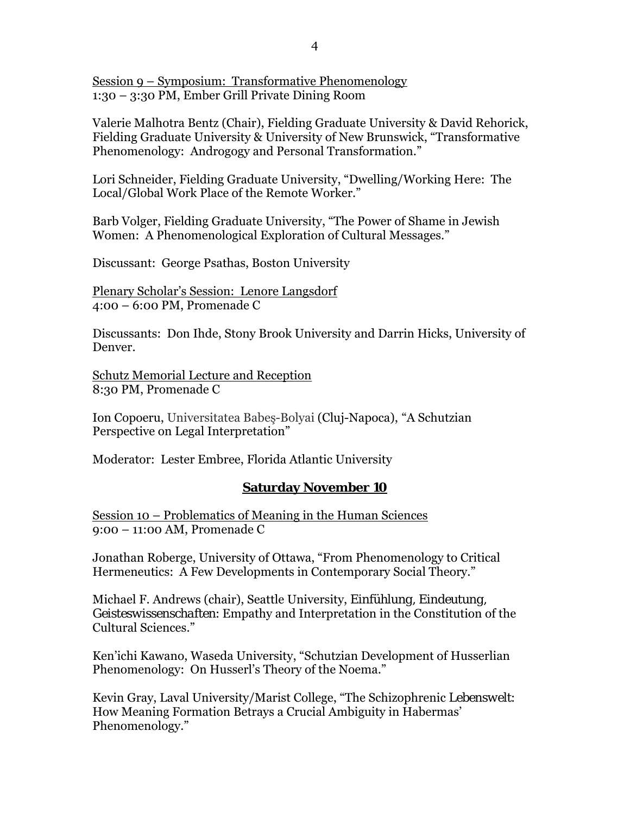Session 9 – Symposium: Transformative Phenomenology 1:30 – 3:30 PM, Ember Grill Private Dining Room

Valerie Malhotra Bentz (Chair), Fielding Graduate University & David Rehorick, Fielding Graduate University & University of New Brunswick, "Transformative Phenomenology: Androgogy and Personal Transformation."

Lori Schneider, Fielding Graduate University, "Dwelling/Working Here: The Local/Global Work Place of the Remote Worker."

Barb Volger, Fielding Graduate University, "The Power of Shame in Jewish Women: A Phenomenological Exploration of Cultural Messages."

Discussant: George Psathas, Boston University

Plenary Scholar's Session: Lenore Langsdorf 4:00 – 6:00 PM, Promenade C

Discussants: Don Ihde, Stony Brook University and Darrin Hicks, University of Denver.

Schutz Memorial Lecture and Reception 8:30 PM, Promenade C

Ion Copoeru, Universitatea Babeş-Bolyai (Cluj-Napoca), "A Schutzian Perspective on Legal Interpretation"

Moderator: Lester Embree, Florida Atlantic University

### **Saturday November 10**

Session 10 – Problematics of Meaning in the Human Sciences 9:00 – 11:00 AM, Promenade C

Jonathan Roberge, University of Ottawa, "From Phenomenology to Critical Hermeneutics: A Few Developments in Contemporary Social Theory."

Michael F. Andrews (chair), Seattle University, *Einfühlung, Eindeutung, Geisteswissenschaften*: Empathy and Interpretation in the Constitution of the Cultural Sciences."

Ken'ichi Kawano, Waseda University, "Schutzian Development of Husserlian Phenomenology: On Husserl's Theory of the Noema."

Kevin Gray, Laval University/Marist College, "The Schizophrenic *Lebenswelt*: How Meaning Formation Betrays a Crucial Ambiguity in Habermas' Phenomenology."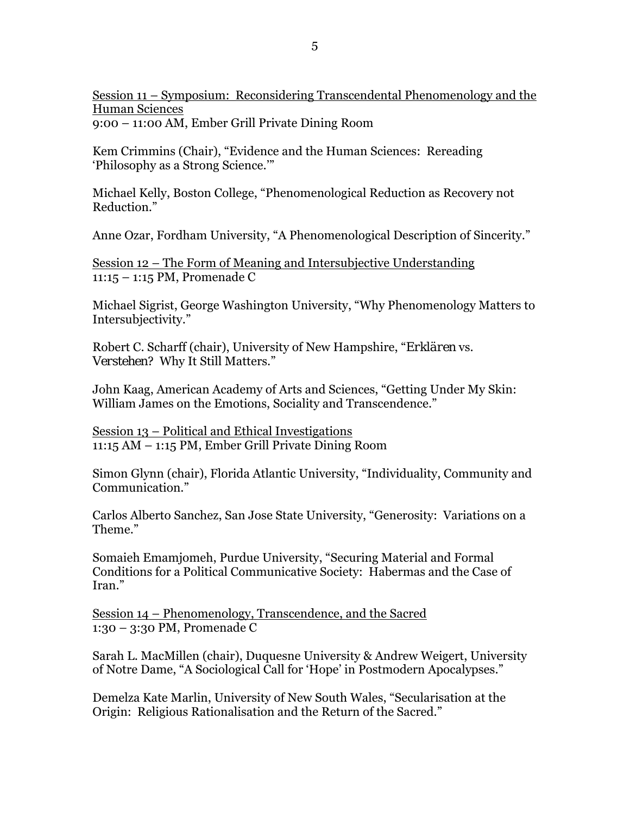Session 11 – Symposium: Reconsidering Transcendental Phenomenology and the Human Sciences 9:00 – 11:00 AM, Ember Grill Private Dining Room

Kem Crimmins (Chair), "Evidence and the Human Sciences: Rereading 'Philosophy as a Strong Science.'"

Michael Kelly, Boston College, "Phenomenological Reduction as Recovery not Reduction."

Anne Ozar, Fordham University, "A Phenomenological Description of Sincerity."

Session 12 – The Form of Meaning and Intersubjective Understanding 11:15 – 1:15 PM, Promenade C

Michael Sigrist, George Washington University, "Why Phenomenology Matters to Intersubjectivity."

Robert C. Scharff (chair), University of New Hampshire, "*Erklären* vs. *Verstehen*? Why It Still Matters."

John Kaag, American Academy of Arts and Sciences, "Getting Under My Skin: William James on the Emotions, Sociality and Transcendence."

Session 13 – Political and Ethical Investigations 11:15 AM – 1:15 PM, Ember Grill Private Dining Room

Simon Glynn (chair), Florida Atlantic University, "Individuality, Community and Communication."

Carlos Alberto Sanchez, San Jose State University, "Generosity: Variations on a Theme."

Somaieh Emamjomeh, Purdue University, "Securing Material and Formal Conditions for a Political Communicative Society: Habermas and the Case of Iran."

Session 14 – Phenomenology, Transcendence, and the Sacred 1:30 – 3:30 PM, Promenade C

Sarah L. MacMillen (chair), Duquesne University & Andrew Weigert, University of Notre Dame, "A Sociological Call for 'Hope' in Postmodern Apocalypses."

Demelza Kate Marlin, University of New South Wales, "Secularisation at the Origin: Religious Rationalisation and the Return of the Sacred."